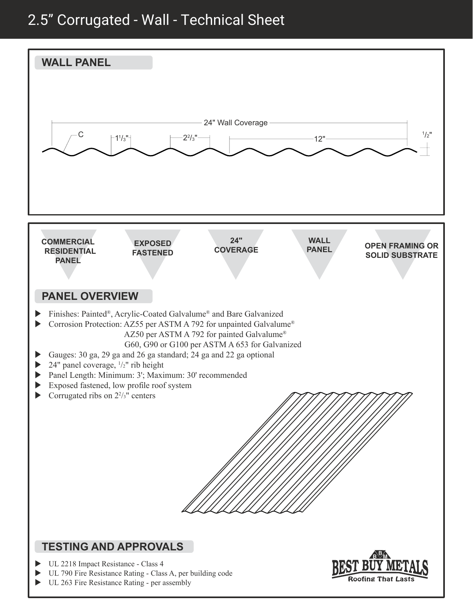## 2.5" Corrugated - Wall - Technical Sheet



UL 263 Fire Resistance Rating - per assembly